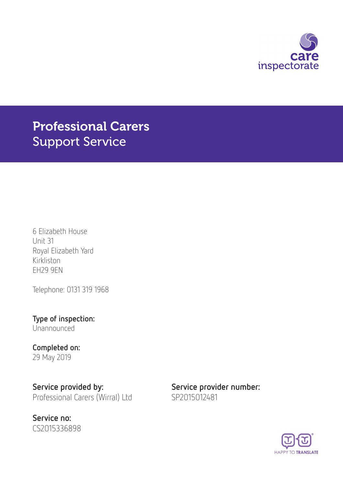

# Professional Carers Support Service

6 Elizabeth House Unit 31 Royal Elizabeth Yard Kirkliston EH29 9EN

Telephone: 0131 319 1968

Type of inspection: Unannounced

Completed on: 29 May 2019

Service provided by: Service provider number: Professional Carers (Wirral) Ltd SP2015012481

Service no: CS2015336898

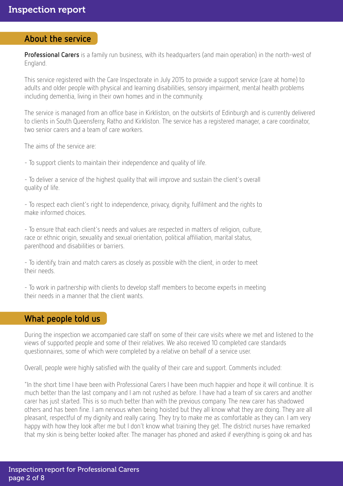#### About the service

Professional Carers is a family run business, with its headquarters (and main operation) in the north-west of England.

This service registered with the Care Inspectorate in July 2015 to provide a support service (care at home) to adults and older people with physical and learning disabilities, sensory impairment, mental health problems including dementia, living in their own homes and in the community.

The service is managed from an office base in Kirkliston, on the outskirts of Edinburgh and is currently delivered to clients in South Queensferry, Ratho and Kirkliston. The service has a registered manager, a care coordinator, two senior carers and a team of care workers.

The aims of the service are:

- To support clients to maintain their independence and quality of life.

- To deliver a service of the highest quality that will improve and sustain the client's overall quality of life.

- To respect each client's right to independence, privacy, dignity, fulfilment and the rights to make informed choices.

- To ensure that each client's needs and values are respected in matters of religion, culture, race or ethnic origin, sexuality and sexual orientation, political affiliation, marital status, parenthood and disabilities or barriers.

- To identify, train and match carers as closely as possible with the client, in order to meet their needs.

- To work in partnership with clients to develop staff members to become experts in meeting their needs in a manner that the client wants.

### What people told us

During the inspection we accompanied care staff on some of their care visits where we met and listened to the views of supported people and some of their relatives. We also received 10 completed care standards questionnaires, some of which were completed by a relative on behalf of a service user.

Overall, people were highly satisfied with the quality of their care and support. Comments included:

"In the short time I have been with Professional Carers I have been much happier and hope it will continue. It is much better than the last company and I am not rushed as before. I have had a team of six carers and another carer has just started. This is so much better than with the previous company. The new carer has shadowed others and has been fine. I am nervous when being hoisted but they all know what they are doing. They are all pleasant, respectful of my dignity and really caring. They try to make me as comfortable as they can. I am very happy with how they look after me but I don't know what training they get. The district nurses have remarked that my skin is being better looked after. The manager has phoned and asked if everything is going ok and has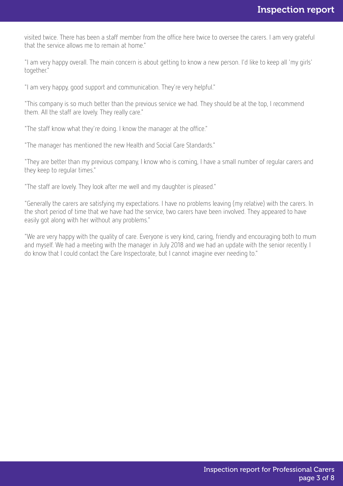visited twice. There has been a staff member from the office here twice to oversee the carers. I am very grateful that the service allows me to remain at home."

"I am very happy overall. The main concern is about getting to know a new person. I'd like to keep all 'my girls' together."

"I am very happy, good support and communication. They're very helpful."

"This company is so much better than the previous service we had. They should be at the top, I recommend them. All the staff are lovely. They really care."

"The staff know what they're doing. I know the manager at the office."

"The manager has mentioned the new Health and Social Care Standards."

"They are better than my previous company, I know who is coming, I have a small number of regular carers and they keep to regular times."

"The staff are lovely. They look after me well and my daughter is pleased."

"Generally the carers are satisfying my expectations. I have no problems leaving (my relative) with the carers. In the short period of time that we have had the service, two carers have been involved. They appeared to have easily got along with her without any problems."

"We are very happy with the quality of care. Everyone is very kind, caring, friendly and encouraging both to mum and myself. We had a meeting with the manager in July 2018 and we had an update with the senior recently. I do know that I could contact the Care Inspectorate, but I cannot imagine ever needing to."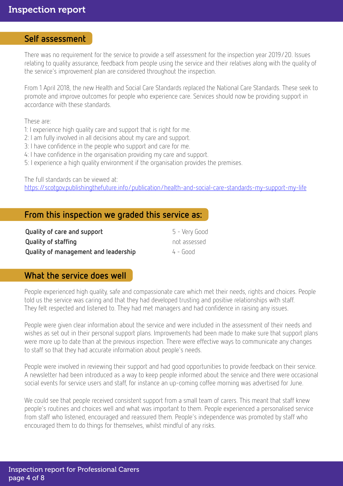#### Self assessment

There was no requirement for the service to provide a self assessment for the inspection year 2019/20. Issues relating to quality assurance, feedback from people using the service and their relatives along with the quality of the service's improvement plan are considered throughout the inspection.

From 1 April 2018, the new Health and Social Care Standards replaced the National Care Standards. These seek to promote and improve outcomes for people who experience care. Services should now be providing support in accordance with these standards.

These are:

- 1: I experience high quality care and support that is right for me.
- 2: I am fully involved in all decisions about my care and support.
- 3: I have confidence in the people who support and care for me.
- 4: I have confidence in the organisation providing my care and support.
- 5: I experience a high quality environment if the organisation provides the premises.

The full standards can be viewed at:

<https://scotgov.publishingthefuture.info/publication/health-and-social-care-standards-my-support-my-life>

## From this inspection we graded this service as:

| Quality of care and support          | 5 - Very Good |
|--------------------------------------|---------------|
| <b>Quality of staffing</b>           | not assessed  |
| Quality of management and leadership | $4 - 600d$    |

# What the service does well

People experienced high quality, safe and compassionate care which met their needs, rights and choices. People told us the service was caring and that they had developed trusting and positive relationships with staff. They felt respected and listened to. They had met managers and had confidence in raising any issues.

People were given clear information about the service and were included in the assessment of their needs and wishes as set out in their personal support plans. Improvements had been made to make sure that support plans were more up to date than at the previous inspection. There were effective ways to communicate any changes to staff so that they had accurate information about people's needs.

People were involved in reviewing their support and had good opportunities to provide feedback on their service. A newsletter had been introduced as a way to keep people informed about the service and there were occasional social events for service users and staff, for instance an up-coming coffee morning was advertised for June.

We could see that people received consistent support from a small team of carers. This meant that staff knew people's routines and choices well and what was important to them. People experienced a personalised service from staff who listened, encouraged and reassured them. People's independence was promoted by staff who encouraged them to do things for themselves, whilst mindful of any risks.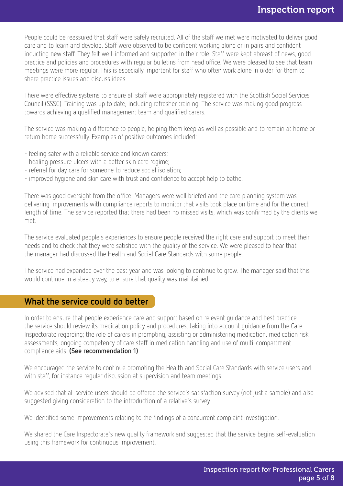People could be reassured that staff were safely recruited. All of the staff we met were motivated to deliver good care and to learn and develop. Staff were observed to be confident working alone or in pairs and confident inducting new staff. They felt well-informed and supported in their role. Staff were kept abreast of news, good practice and policies and procedures with regular bulletins from head office. We were pleased to see that team meetings were more regular. This is especially important for staff who often work alone in order for them to share practice issues and discuss ideas.

There were effective systems to ensure all staff were appropriately registered with the Scottish Social Services Council (SSSC). Training was up to date, including refresher training. The service was making good progress towards achieving a qualified management team and qualified carers.

The service was making a difference to people, helping them keep as well as possible and to remain at home or return home successfully. Examples of positive outcomes included:

- feeling safer with a reliable service and known carers;
- healing pressure ulcers with a better skin care regime;
- referral for day care for someone to reduce social isolation;
- improved hygiene and skin care with trust and confidence to accept help to bathe.

There was good oversight from the office. Managers were well briefed and the care planning system was delivering improvements with compliance reports to monitor that visits took place on time and for the correct length of time. The service reported that there had been no missed visits, which was confirmed by the clients we met.

The service evaluated people's experiences to ensure people received the right care and support to meet their needs and to check that they were satisfied with the quality of the service. We were pleased to hear that the manager had discussed the Health and Social Care Standards with some people.

The service had expanded over the past year and was looking to continue to grow. The manager said that this would continue in a steady way, to ensure that quality was maintained.

## What the service could do better

In order to ensure that people experience care and support based on relevant guidance and best practice the service should review its medication policy and procedures, taking into account guidance from the Care Inspectorate regarding; the role of carers in prompting, assisting or administering medication, medication risk assessments, ongoing competency of care staff in medication handling and use of multi-compartment compliance aids. (See recommendation 1)

We encouraged the service to continue promoting the Health and Social Care Standards with service users and with staff, for instance regular discussion at supervision and team meetings.

We advised that all service users should be offered the service's satisfaction survey (not just a sample) and also suggested giving consideration to the introduction of a relative's survey.

We identified some improvements relating to the findings of a concurrent complaint investigation.

We shared the Care Inspectorate's new quality framework and suggested that the service begins self-evaluation using this framework for continuous improvement.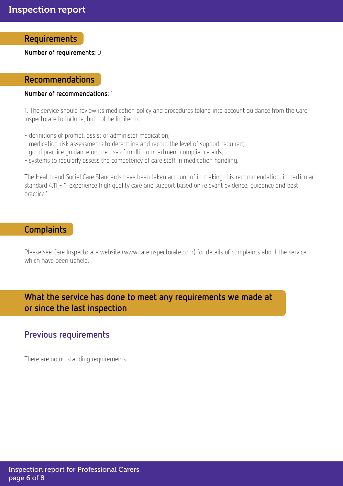#### Requirements

Number of requirements: 0

#### Recommendations

#### Number of recommendations: 1

1. The service should review its medication policy and procedures taking into account guidance from the Care Inspectorate to include, but not be limited to:

- definitions of prompt, assist or administer medication;
- medication risk assessments to determine and record the level of support required;
- good practice guidance on the use of multi-compartment compliance aids;
- systems to regularly assess the competency of care staff in medication handling.

The Health and Social Care Standards have been taken account of in making this recommendation, in particular standard 4.11 - "I experience high quality care and support based on relevant evidence, guidance and best practice."

### **Complaints**

Please see Care Inspectorate website (www.careinspectorate.com) for details of complaints about the service which have been upheld.

# What the service has done to meet any requirements we made at or since the last inspection

## Previous requirements

There are no outstanding requirements.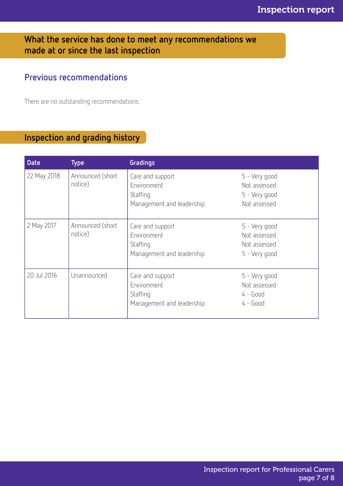# What the service has done to meet any recommendations we made at or since the last inspection

# Previous recommendations

There are no outstanding recommendations.

# Inspection and grading history

| <b>Date</b> | <b>Type</b>                 | Gradings                                                                 |                                                                |
|-------------|-----------------------------|--------------------------------------------------------------------------|----------------------------------------------------------------|
| 22 May 2018 | Announced (short<br>notice) | Care and support<br>Environment<br>Staffing<br>Management and leadership | 5 - Very good<br>Not assessed<br>5 - Very good<br>Not assessed |
| 2 May 2017  | Announced (short<br>notice) | Care and support<br>Environment<br>Staffing<br>Management and leadership | 5 - Very good<br>Not assessed<br>Not assessed<br>5 - Very good |
| 20 Jul 2016 | Unannounced                 | Care and support<br>Environment<br>Staffing<br>Management and leadership | 5 - Very good<br>Not assessed<br>$4 - Good$<br>$4 - Good$      |